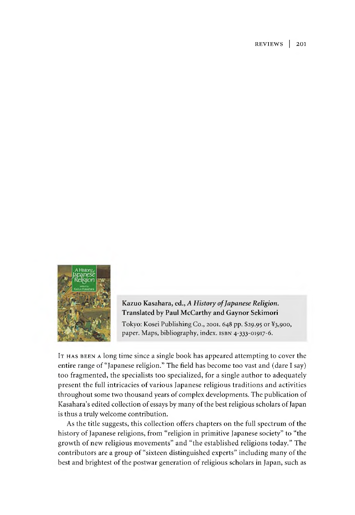REVIEW S | 201



## Kazuo Kasahara, ed., *A History of Japanese Religion.* Translated by Paul McCarthy and Gaynor Sekimori

Tokyo: Kosei Publishing Co., 2001.648 pp. \$29.95 or ¥3,900, paper. Maps, bibliography, index, isbn 4-333-01917-6.

It has been a long time since a single book has appeared attempting to cover the entire range of "Japanese religion." The field has become too vast and (dare I say) too fragmented, the specialists too specialized, for a single author to adequately present the full intricacies of various Japanese religious traditions and activities throughout some two thousand years of complex developments. The publication of Kasahara's edited collection of essays by many of the best religious scholars of Japan is thus a truly welcome contribution.

As the title suggests, this collection offers chapters on the full spectrum of the history of Japanese religions, from "religion in primitive Japanese society" to "the growth of new religious movements" and "the established religions today." The contributors are a group of "sixteen distinguished experts" including many of the best and brightest of the postwar generation of religious scholars in Japan, such as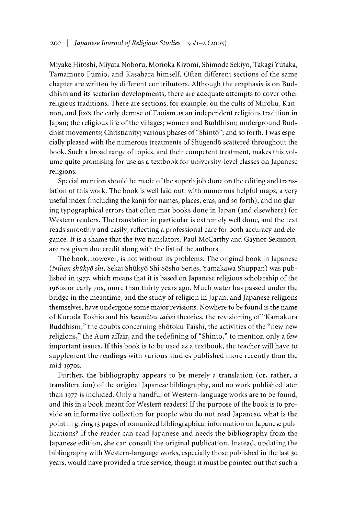Miyake Hitoshi, Miyata Noboru, Morioka Kiyomi, Shimode Sekiyo, Takagi Yutaka, Tamamuro Fumio, and Kasahara himself. Often different sections of the same chapter are written by different contributors. Although the emphasis is on Buddhism and its sectarian developments, there are adequate attempts to cover other religious traditions. There are sections, for example, on the cults of Miroku, Kannon, and Jizo; the early demise of Taoism as an independent religious tradition in Japan; the religious life of the villages; women and Buddhism; underground Buddhist movements; Christianity; various phases of "Shintō"; and so forth. I was especially pleased with the numerous treatments of Shugendō scattered throughout the book. Such a broad range of topics, and their competent treatment, makes this volume quite promising for use as a textbook for university-level classes on Japanese religions.

Special mention should be made of the superb joo done on the editing and translation of this work. The book is well laid out, with numerous helpful maps, a very useful index (including the kanji for names, places, eras, and so forth), and no glaring typographical errors that often mar books done in Japan (and elsewhere) for Western readers. The translation in particular is extremely well done, and the text reads smoothly and easily, reflecting a professional care for both accuracy and elegance. It is a shame that the two translators, Paul McCarthy and Gaynor Sekimori, are not given due credit along with the list of the authors.

The book, however, is not without its problems. The original book in Japanese *(Nihon shiikyd shi,* Sekai Shukyo Shi Sosho Series, Yamakawa Shuppan) was published in 1977, which means that it is based on Japanese religious scholarship of the 1960s or early 70s, more than thirty years ago. Much water has passed under the bridge in the meantime, and the study of religion in Japan, and Japanese religions themselves, have undergone some major revisions. Nowhere to be found is the name of Kuroda Toshio and his *kenmitsu taisei* theories, the revisioning of "Kamakura Buddhism," the doubts concerning Shotoku Taishi, the activities of the "new new religions," the Aum affair, and the redefining of "Shinto," to mention only a few important issues. If this book is to be used as a textbook, the teacher will have to supplement the readings with various studies published more recently than the mid-1970s.

Further, the bibliography appears to be merely a translation (or, rather, a transliteration) of the original Japanese bibliography, and no work published later than 1977 is included. Only a handful of Western-language works are to be found, and this in a book meant for Western readers? If the purpose of the book is to provide an informative collection for people who do not read Japanese, what is the point in giving 13 pages of romanized bibliographical information on Japanese publications? If the reader can read Japanese and needs the bibliography from the Japanese edition, she can consult the original publication. Instead, updating the bibliography with Western-language works, especially those published in the last 30 years, would have provided a true service, though it must be pointed out that such a